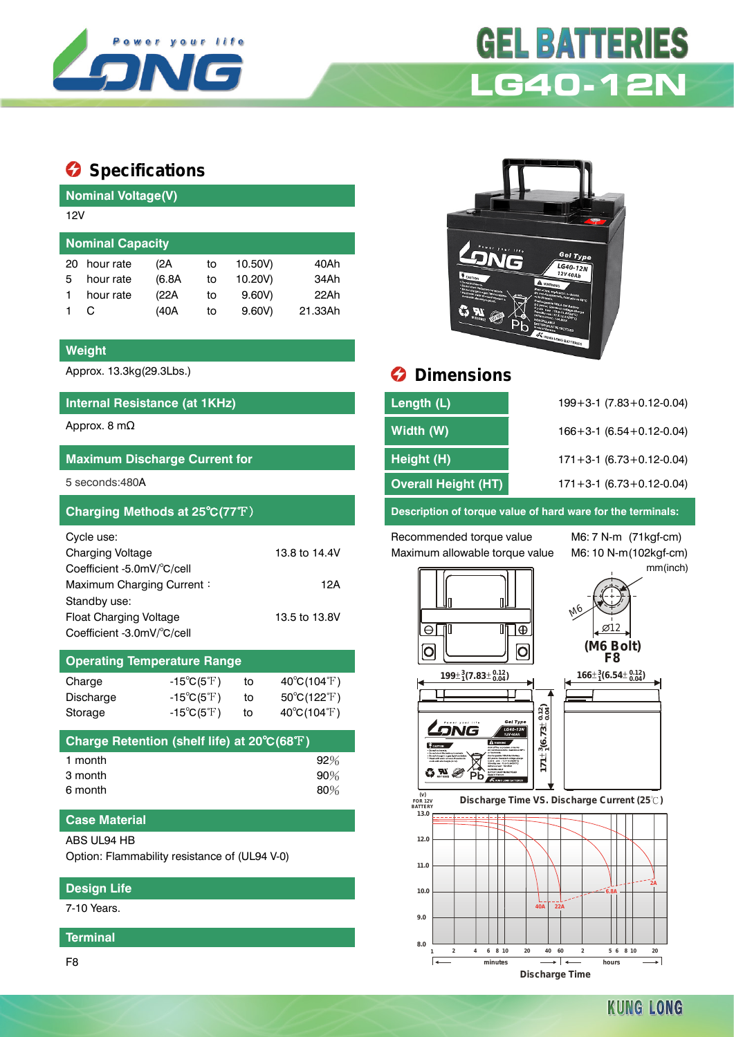

# **GEL BATTERIES LG40-12N**

## **Specifications**

**Nominal Voltage(V)**

|                         | <b>INVITIBUT VULGYCIVI</b> |        |    |         |         |  |  |  |  |
|-------------------------|----------------------------|--------|----|---------|---------|--|--|--|--|
| 12V                     |                            |        |    |         |         |  |  |  |  |
| <b>Nominal Capacity</b> |                            |        |    |         |         |  |  |  |  |
| 20                      | hour rate                  | (2A    | to | 10.50V) | 40Ah    |  |  |  |  |
| 5                       | hour rate                  | (6.8A) | to | 10.20V) | 34Ah    |  |  |  |  |
|                         | hour rate                  | (22A   | to | 9.60V   | 22Ah    |  |  |  |  |
|                         | C                          | (40A   | to | 9.60V   | 21.33Ah |  |  |  |  |
|                         |                            |        |    |         |         |  |  |  |  |

#### **Weight**

## **Internal Resistance (at 1KHz)**

| <b>Maximum Discharge Current for</b> |               |
|--------------------------------------|---------------|
| $5$ seconds: $480A$                  |               |
| Charging Methods at 25°C(77°F)       |               |
| Cycle use:                           |               |
| Charging Voltage                     | 13.8 to 14.4V |
| Coefficient -5.0mV/°C/cell           |               |
| Maximum Charging Current:            | 12A           |
| Standby use:                         |               |
| Float Charging Voltage               | 13.5 to 13.8V |
| Coefficient -3.0mV/°C/cell           |               |

| <b>Operating Temperature Range</b> |                            |    |                                  |  |  |  |  |  |
|------------------------------------|----------------------------|----|----------------------------------|--|--|--|--|--|
| Charge                             | $-15^{\circ}C(5^{\circ}F)$ | to | $40^{\circ}C(104^{\circ}F)$      |  |  |  |  |  |
| Discharge                          | $-15^{\circ}C(5^{\circ}F)$ | to | $50^{\circ}$ C(122 $^{\circ}$ F) |  |  |  |  |  |
| Storage                            | $-15^{\circ}C(5^{\circ}F)$ | tο | $40^{\circ}C(104^{\circ}F)$      |  |  |  |  |  |

| Charge Retention (shelf life) at 20°C(68°F) |        |
|---------------------------------------------|--------|
| 1 month                                     | $92\%$ |
| 3 month                                     | $90\%$ |
| 6 month                                     | 80%    |

### **Case Material**

#### ABS UL94 HB

Option: Flammability resistance of (UL94 V-0)

#### **Design Life**

7-10 Years.

#### **Terminal**



# Approx. 13.3kg(29.3Lbs.) **Dimensions**

| Internal Resistance (at 1KHz)        | Length (L)          | $199 + 3 - 1$ (7.83 + 0.12 - 0.04) |
|--------------------------------------|---------------------|------------------------------------|
| Approx. 8 m $\Omega$                 | Width (W)           | $166 + 3 - 1$ (6.54 + 0.12 - 0.04) |
| <b>Maximum Discharge Current for</b> | Height (H)          | $171 + 3 - 1$ (6.73 + 0.12 - 0.04) |
| 5 seconds:480A                       | Overall Height (HT) | $171 + 3 - 1$ (6.73 + 0.12 - 0.04) |
|                                      |                     |                                    |

**Description of torque value of hard ware for the terminals:** 

Recommended torque value M6: 7 N-m (71kgf-cm) Maximum allowable torque value M6: 10 N-m(102kgf-cm)

mm(inch)